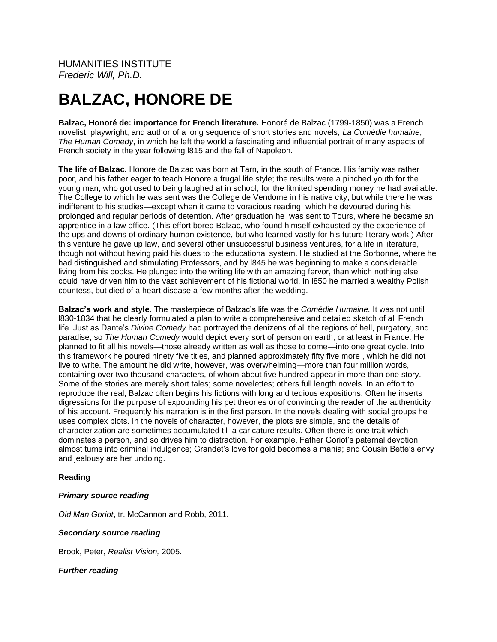HUMANITIES INSTITUTE *Frederic Will, Ph.D.*

# **BALZAC, HONORE DE**

**Balzac, Honoré de: importance for French literature.** Honoré de Balzac (1799-1850) was a French novelist, playwright, and author of a long sequence of short stories and novels, *La Comédie humaine*, *The Human Comedy*, in which he left the world a fascinating and influential portrait of many aspects of French society in the year following l815 and the fall of Napoleon.

**The life of Balzac.** Honore de Balzac was born at Tarn, in the south of France. His family was rather poor, and his father eager to teach Honore a frugal life style; the results were a pinched youth for the young man, who got used to being laughed at in school, for the litmited spending money he had available. The College to which he was sent was the College de Vendome in his native city, but while there he was indifferent to his studies—except when it came to voracious reading, which he devoured during his prolonged and regular periods of detention. After graduation he was sent to Tours, where he became an apprentice in a law office. (This effort bored Balzac, who found himself exhausted by the experience of the ups and downs of ordinary human existence, but who learned vastly for his future literary work.) After this venture he gave up law, and several other unsuccessful business ventures, for a life in literature, though not without having paid his dues to the educational system. He studied at the Sorbonne, where he had distinguished and stimulating Professors, and by l845 he was beginning to make a considerable living from his books. He plunged into the writing life with an amazing fervor, than which nothing else could have driven him to the vast achievement of his fictional world. In l850 he married a wealthy Polish countess, but died of a heart disease a few months after the wedding.

**Balzac's work and style**. The masterpiece of Balzac's life was the *Comédie Humaine.* It was not until l830-1834 that he clearly formulated a plan to write a comprehensive and detailed sketch of all French life. Just as Dante's *Divine Comedy* had portrayed the denizens of all the regions of hell, purgatory, and paradise, so *The Human Comedy* would depict every sort of person on earth, or at least in France. He planned to fit all his novels—those already written as well as those to come—into one great cycle. Into this framework he poured ninety five titles, and planned approximately fifty five more , which he did not live to write. The amount he did write, however, was overwhelming—more than four million words, containing over two thousand characters, of whom about five hundred appear in more than one story. Some of the stories are merely short tales; some novelettes; others full length novels. In an effort to reproduce the real, Balzac often begins his fictions with long and tedious expositions. Often he inserts digressions for the purpose of expounding his pet theories or of convincing the reader of the authenticity of his account. Frequently his narration is in the first person. In the novels dealing with social groups he uses complex plots. In the novels of character, however, the plots are simple, and the details of characterization are sometimes accumulated til a caricature results. Often there is one trait which dominates a person, and so drives him to distraction. For example, Father Goriot's paternal devotion almost turns into criminal indulgence; Grandet's love for gold becomes a mania; and Cousin Bette's envy and jealousy are her undoing.

#### **Reading**

#### *Primary source reading*

*Old Man Goriot*, tr. McCannon and Robb, 2011.

#### *Secondary source reading*

Brook, Peter, *Realist Vision,* 2005.

#### *Further reading*